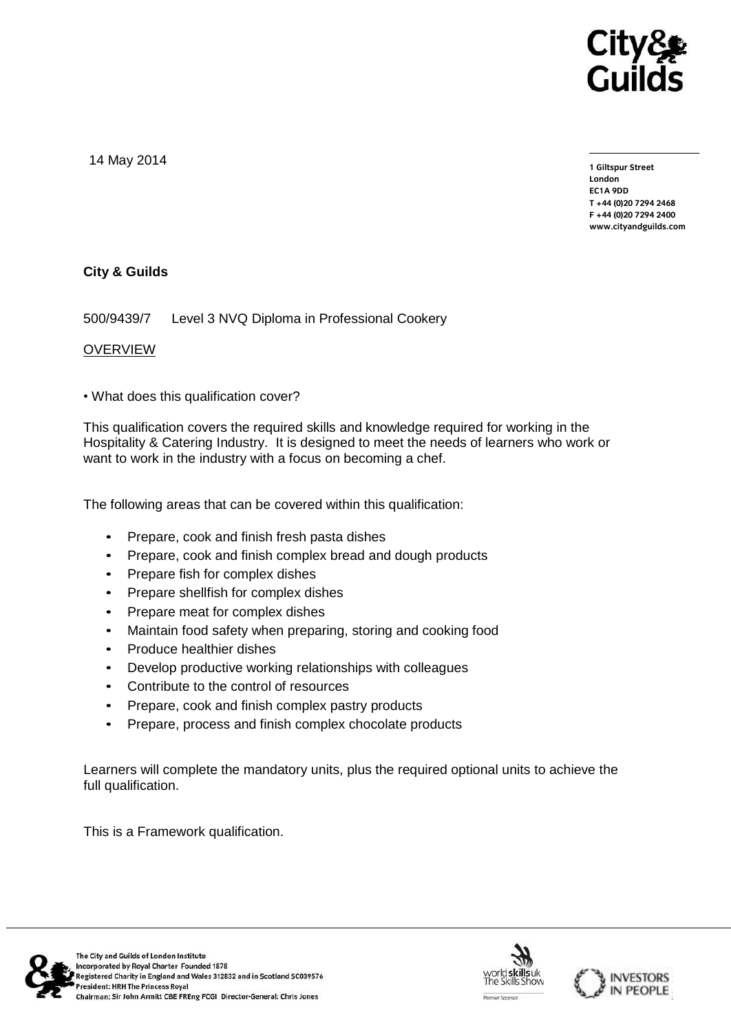

14 May 2014

**1 Giltspur Street EC1A 9DD** T +44 (0) 20 7 294 2468 **T +44 (0)20 7294 2468 F +44 (0)20 7294 2400 [www.cityandguilds.com](http://www.cityandguilds.com/)**

## **City & Guilds**

500/9439/7 Level 3 NVQ Diploma in Professional Cookery

### **OVERVIEW**

• What does this qualification cover?

This qualification covers the required skills and knowledge required for working in the Hospitality & Catering Industry. It is designed to meet the needs of learners who work or want to work in the industry with a focus on becoming a chef.

The following areas that can be covered within this qualification:

- Prepare, cook and finish fresh pasta dishes
- Prepare, cook and finish complex bread and dough products
- Prepare fish for complex dishes
- Prepare shellfish for complex dishes
- Prepare meat for complex dishes
- Maintain food safety when preparing, storing and cooking food
- Produce healthier dishes
- Develop productive working relationships with colleagues
- Contribute to the control of resources
- Prepare, cook and finish complex pastry products
- Prepare, process and finish complex chocolate products

Learners will complete the mandatory units, plus the required optional units to achieve the full qualification.

This is a Framework qualification.